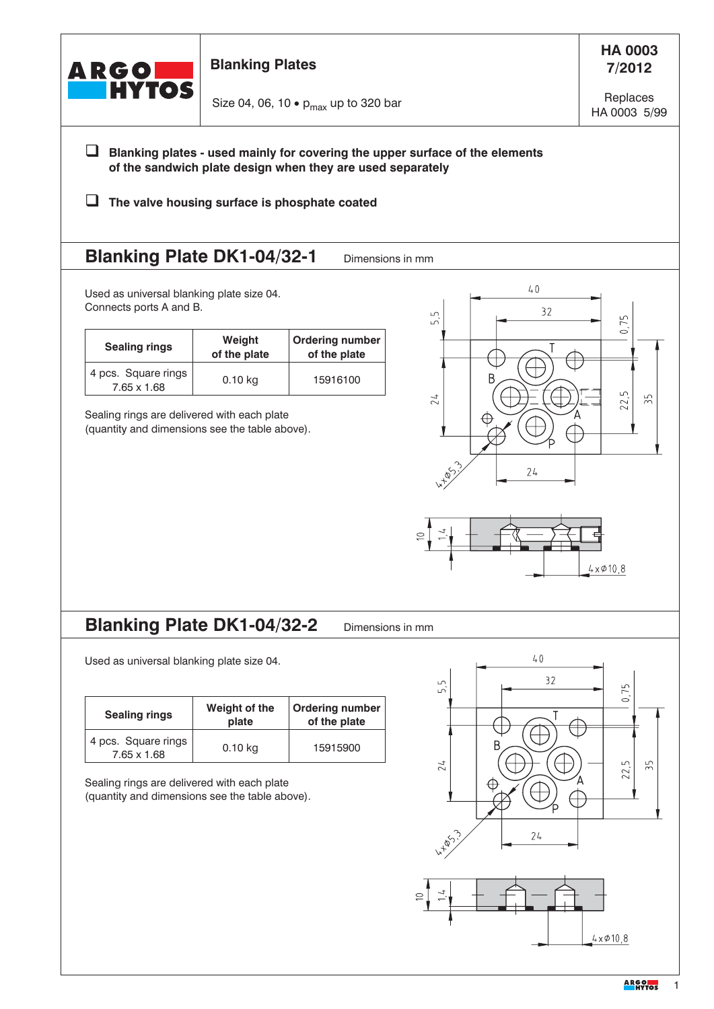| ARGO <b>LE</b><br>Entre Hytos                                        | <b>Blanking Plates</b>                                                                        |                                                                                                             |                                                                              | <b>HA 0003</b><br>7/2012 |
|----------------------------------------------------------------------|-----------------------------------------------------------------------------------------------|-------------------------------------------------------------------------------------------------------------|------------------------------------------------------------------------------|--------------------------|
|                                                                      | Size 04, 06, 10 $\bullet$ p <sub>max</sub> up to 320 bar                                      |                                                                                                             | Replaces<br>HA 0003 5/99                                                     |                          |
|                                                                      |                                                                                               | of the sandwich plate design when they are used separately<br>The valve housing surface is phosphate coated | Blanking plates - used mainly for covering the upper surface of the elements |                          |
| <b>Blanking Plate DK1-04/32-1</b>                                    |                                                                                               | Dimensions in mm                                                                                            |                                                                              |                          |
| Used as universal blanking plate size 04.<br>Connects ports A and B. |                                                                                               |                                                                                                             | 40<br>32<br>$\Box$<br>ட்                                                     | 75                       |
| <b>Sealing rings</b>                                                 | Weight<br>of the plate                                                                        | <b>Ordering number</b><br>of the plate                                                                      |                                                                              | $\circ$                  |
| 4 pcs. Square rings<br>7.65 x 1.68                                   | $0.10$ kg                                                                                     | 15916100                                                                                                    | 24                                                                           | ௴<br>55                  |
|                                                                      |                                                                                               |                                                                                                             | IXTAS<br>24                                                                  | $4 \times 010,8$         |
| <b>Blanking Plate DK1-04/32-2</b>                                    |                                                                                               | Dimensions in mm                                                                                            | 40                                                                           |                          |
| Used as universal blanking plate size 04.                            |                                                                                               |                                                                                                             | 32<br>ஸ்                                                                     | 75                       |
| <b>Sealing rings</b>                                                 | Weight of the<br>plate                                                                        | <b>Ordering number</b><br>of the plate                                                                      |                                                                              | $\circ$                  |
| 4 pcs. Square rings<br>7.65 x 1.68                                   | $0.10$ kg                                                                                     | 15915900                                                                                                    | B<br>24                                                                      | $\frac{5}{2}$<br>பி      |
|                                                                      | Sealing rings are delivered with each plate<br>(quantity and dimensions see the table above). |                                                                                                             |                                                                              |                          |
|                                                                      |                                                                                               |                                                                                                             | ↔<br><b>4-85-13</b><br>24                                                    | 22,                      |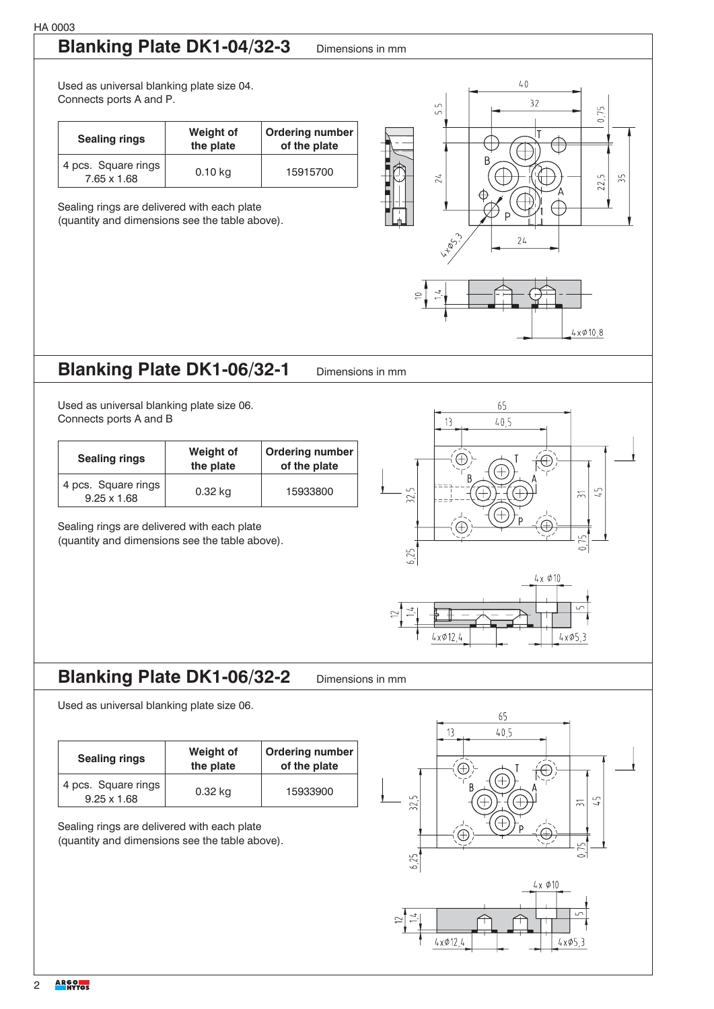# **Blanking Plate DK1-04/32-3** Dimensions in mm

Used as universal blanking plate size 04. Connects ports A and P.

| <b>Sealing rings</b>               | Weight of<br>the plate | <b>Ordering number</b><br>of the plate |
|------------------------------------|------------------------|----------------------------------------|
| 4 pcs. Square rings<br>7.65 x 1.68 | $0.10$ kg              | 15915700                               |

Sealing rings are delivered with each plate

(quantity and dimensions see the table above).



 $4 \times 010,8$ 

### **Blanking Plate DK1-06/32-1** Dimensions in mm

Used as universal blanking plate size 06. Connects ports A and B

| <b>Sealing rings</b>                      | <b>Weight of</b><br>the plate | Ordering number<br>of the plate |
|-------------------------------------------|-------------------------------|---------------------------------|
| 4 pcs. Square rings<br>$9.25 \times 1.68$ | 0.32 kg                       | 15933800                        |

Sealing rings are delivered with each plate (quantity and dimensions see the table above).



## **Blanking Plate DK1-06/32-2** Dimensions in mm

Used as universal blanking plate size 06.

| <b>Sealing rings</b>                      | <b>Weight of</b><br>the plate | <b>Ordering number</b><br>of the plate |
|-------------------------------------------|-------------------------------|----------------------------------------|
| 4 pcs. Square rings<br>$9.25 \times 1.68$ | $0.32$ kg                     | 15933900                               |

Sealing rings are delivered with each plate (quantity and dimensions see the table above).

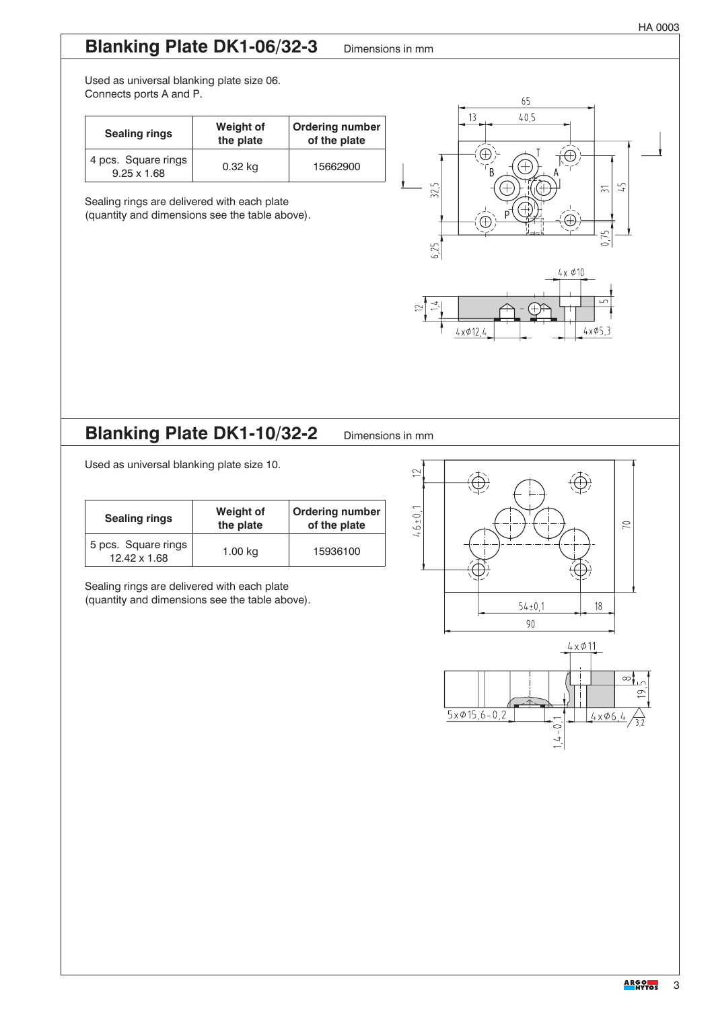### **Blanking Plate DK1-06/32-3** Dimensions in mm

Used as universal blanking plate size 06. Connects ports A and P.

| <b>Sealing rings</b>                      | <b>Weight of</b><br>the plate | <b>Ordering number</b><br>of the plate |
|-------------------------------------------|-------------------------------|----------------------------------------|
| 4 pcs. Square rings<br>$9.25 \times 1.68$ | 0.32 kg                       | 15662900                               |

Sealing rings are delivered with each plate (quantity and dimensions see the table above).



## **Blanking Plate DK1-10/32-2** Dimensions in mm

Used as universal blanking plate size 10.

| <b>Sealing rings</b>                | <b>Weight of</b><br>the plate | <b>Ordering number</b><br>of the plate |
|-------------------------------------|-------------------------------|----------------------------------------|
| 5 pcs. Square rings<br>12.42 x 1.68 | 1.00 kg                       | 15936100                               |

Sealing rings are delivered with each plate

(quantity and dimensions see the table above).